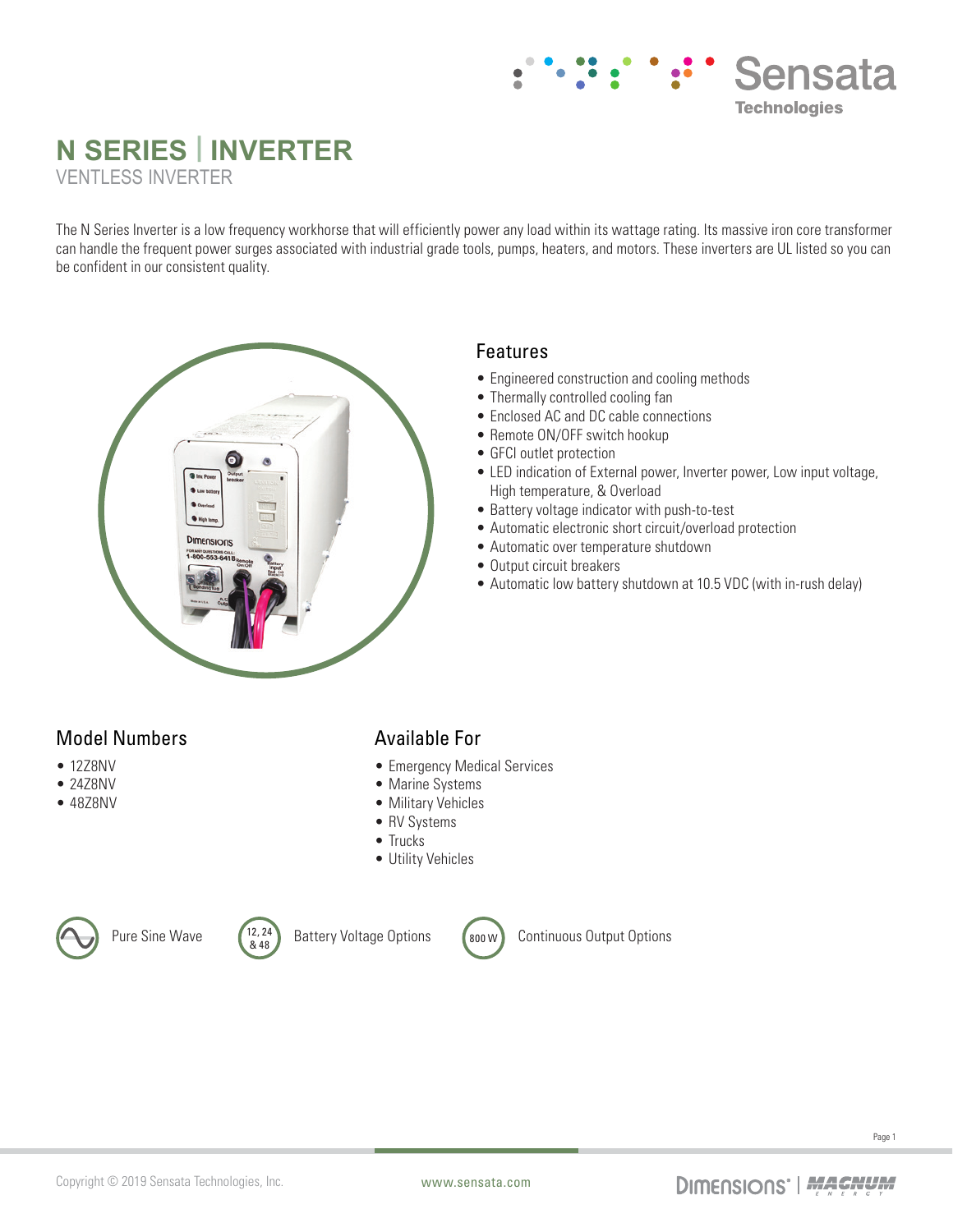# **Sensata Technologies**

## **N SERIES | INVERTER** VENTLESS INVERTER

The N Series Inverter is a low frequency workhorse that will efficiently power any load within its wattage rating. Its massive iron core transformer can handle the frequent power surges associated with industrial grade tools, pumps, heaters, and motors. These inverters are UL listed so you can be confident in our consistent quality.



#### Features

- Engineered construction and cooling methods
- Thermally controlled cooling fan
- Enclosed AC and DC cable connections
- Remote ON/OFF switch hookup
- GFCI outlet protection
- LED indication of External power, Inverter power, Low input voltage, High temperature, & Overload
- Battery voltage indicator with push-to-test
- Automatic electronic short circuit/overload protection
- Automatic over temperature shutdown
- Output circuit breakers
- Automatic low battery shutdown at 10.5 VDC (with in-rush delay)

### Model Numbers

- 1278NV
- 24Z8NV
- 48Z8NV

### Available For

- Emergency Medical Services
- Marine Systems
- Military Vehicles
- RV Systems
- Trucks
- Utility Vehicles



Pure Sine Wave  $\begin{pmatrix} 12, 24 \\ 8, 48 \end{pmatrix}$ 



Battery Voltage Options (800 W) Continuous Output Options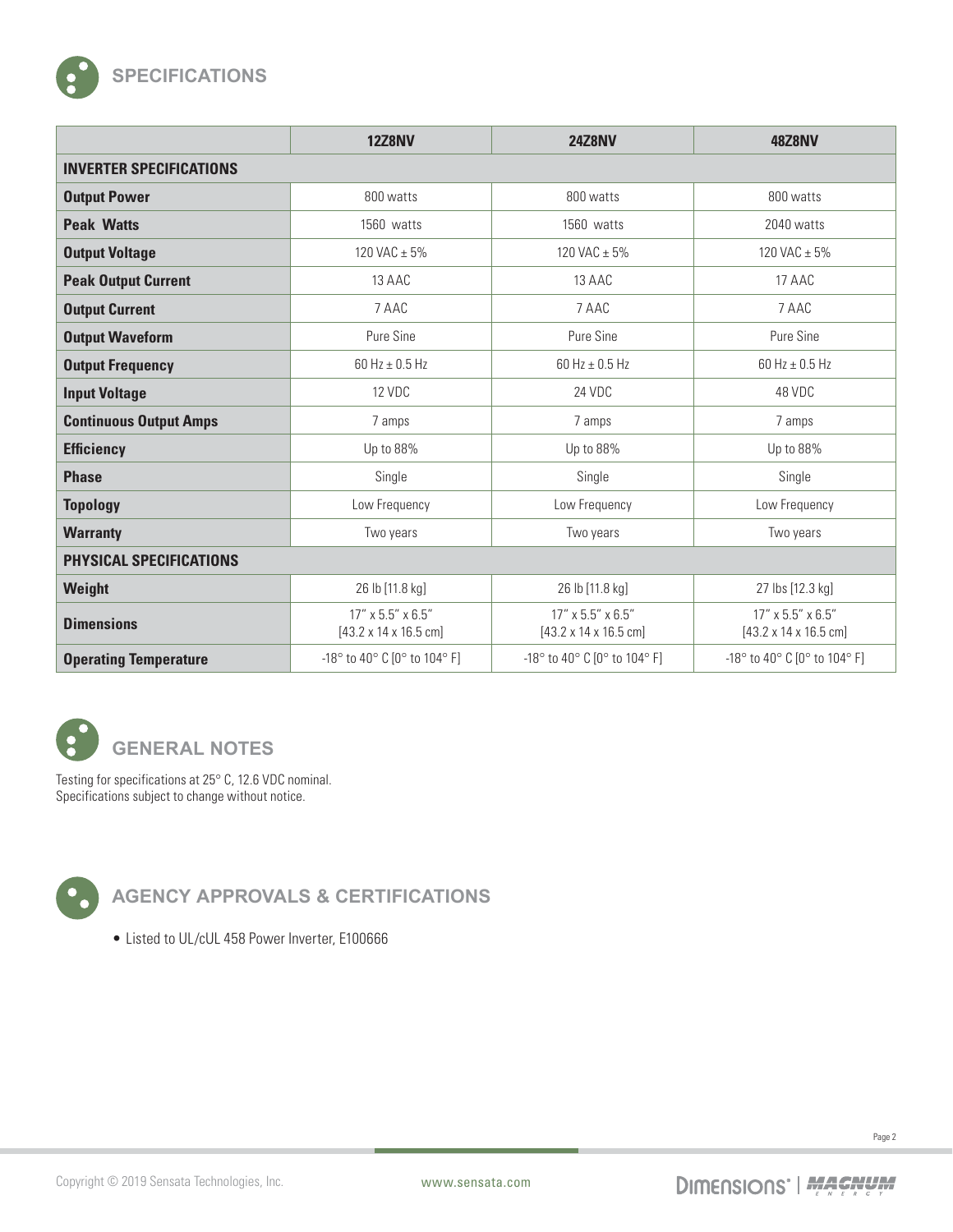

|                                | <b>12Z8NV</b>                                                  | <b>24Z8NV</b>                                                  | <b>48Z8NV</b>                                                  |
|--------------------------------|----------------------------------------------------------------|----------------------------------------------------------------|----------------------------------------------------------------|
| <b>INVERTER SPECIFICATIONS</b> |                                                                |                                                                |                                                                |
| <b>Output Power</b>            | 800 watts                                                      | 800 watts                                                      | 800 watts                                                      |
| <b>Peak Watts</b>              | 1560 watts                                                     | 1560 watts                                                     | 2040 watts                                                     |
| <b>Output Voltage</b>          | 120 VAC $\pm$ 5%                                               | 120 VAC $\pm$ 5%                                               | 120 VAC $\pm$ 5%                                               |
| <b>Peak Output Current</b>     | 13 AAC                                                         | 13 AAC                                                         | 17 AAC                                                         |
| <b>Output Current</b>          | 7 AAC                                                          | 7 AAC                                                          | 7 AAC                                                          |
| <b>Output Waveform</b>         | Pure Sine                                                      | Pure Sine                                                      | Pure Sine                                                      |
| <b>Output Frequency</b>        | 60 Hz $\pm$ 0.5 Hz                                             | 60 Hz $\pm$ 0.5 Hz                                             | 60 Hz $\pm$ 0.5 Hz                                             |
| <b>Input Voltage</b>           | 12 VDC                                                         | 24 VDC                                                         | 48 VDC                                                         |
| <b>Continuous Output Amps</b>  | 7 amps                                                         | 7 amps                                                         | 7 amps                                                         |
| <b>Efficiency</b>              | Up to 88%                                                      | Up to 88%                                                      | Up to 88%                                                      |
| <b>Phase</b>                   | Single                                                         | Single                                                         | Single                                                         |
| <b>Topology</b>                | Low Frequency                                                  | Low Frequency                                                  | Low Frequency                                                  |
| <b>Warranty</b>                | Two years                                                      | Two years                                                      | Two years                                                      |
| PHYSICAL SPECIFICATIONS        |                                                                |                                                                |                                                                |
| Weight                         | 26 lb [11.8 kg]                                                | 26 lb [11.8 kg]                                                | 27 lbs [12.3 kg]                                               |
| <b>Dimensions</b>              | 17" x 5.5" x 6.5"<br>$[43.2 \times 14 \times 16.5 \text{ cm}]$ | 17" x 5.5" x 6.5"<br>$[43.2 \times 14 \times 16.5 \text{ cm}]$ | 17" x 5.5" x 6.5"<br>$[43.2 \times 14 \times 16.5 \text{ cm}]$ |
| <b>Operating Temperature</b>   | -18° to 40° C [0° to 104° F]                                   | -18° to 40° C [0° to 104° F]                                   | -18° to 40° C [0° to 104° F]                                   |



Testing for specifications at 25° C, 12.6 VDC nominal. Specifications subject to change without notice.



**AGENCY APPROVALS & CERTIFICATIONS**

• Listed to UL/cUL 458 Power Inverter, E100666